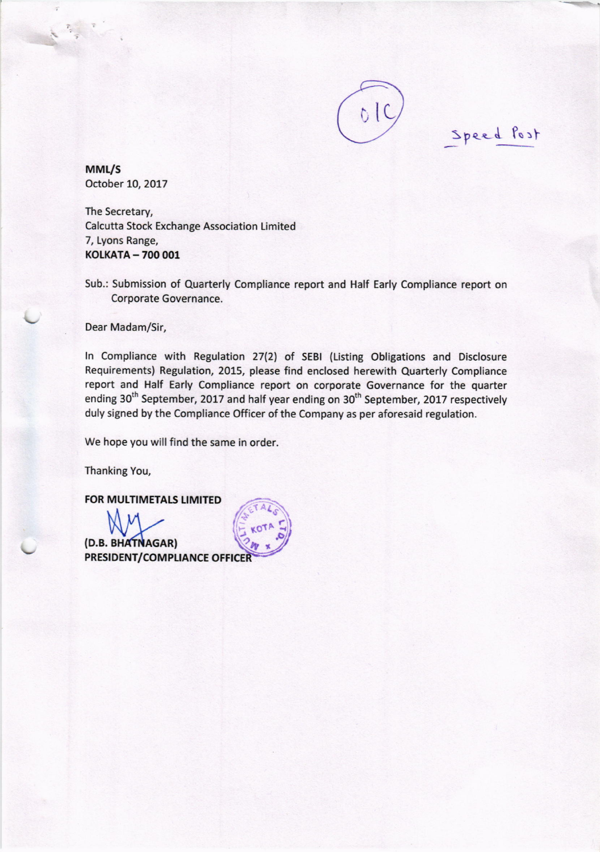

Speed Post

MML/S October 10, 2017

The Secretary, Calcutta Stock Exchange Association Limited 7, Lyons Range, KOLKATA - 700 001

Sub.: Submission of Quarterly Compliance report and Half Early Compliance report on Corporate Governance.

Dear Madam/Sir,

In Compliance with Regulation 27(2) of SEBI (Listing Obligations and Disclosure Requirements) Regulation, 2015, please find enclosed herewith Quarterly Compliance report and Half Early Compliance report on corporate Governance for the quarter ending 30<sup>th</sup> September, 2017 and half year ending on 30<sup>th</sup> September, 2017 respectively duly signed by the Compliance Officer of the Company as per aforesaid regulation.

We hope you will find the same in order.

Thanking You,

**FOR MULTIMETALS LIMITED** 

(D.B. BHATNAGAR) PRESIDENT/COMPLIANCE OFFICE